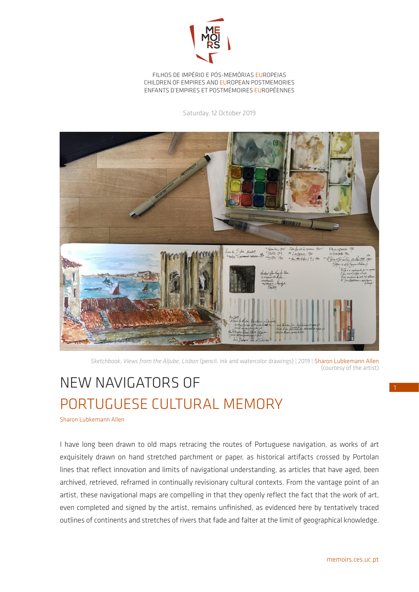

FILHOS DE IMPÉRIO E PÓS-MEMÓRIAS EUROPEIAS CHILDREN OF EMPIRES AND EUROPEAN POSTMEMORIES ENFANTS D'EMPIRES ET POSTMÉMOIRES EUROPÉENNES

Saturday, 12 October 2019



*Sketchbook, Views from the Aljube, Lisbon* (pencil, ink and watercolor drawings) | 2019 | Sharon Lubkemann Allen (courtesy of the artist)

## NEW NAVIGATORS OF PORTUGUESE CULTURAL MEMORY

Sharon Lubkemann Allen

I have long been drawn to old maps retracing the routes of Portuguese navigation, as works of art exquisitely drawn on hand stretched parchment or paper, as historical artifacts crossed by Portolan lines that reflect innovation and limits of navigational understanding, as articles that have aged, been archived, retrieved, reframed in continually revisionary cultural contexts. From the vantage point of an artist, these navigational maps are compelling in that they openly reflect the fact that the work of art, even completed and signed by the artist, remains unfinished, as evidenced here by tentatively traced outlines of continents and stretches of rivers that fade and falter at the limit of geographical knowledge.

1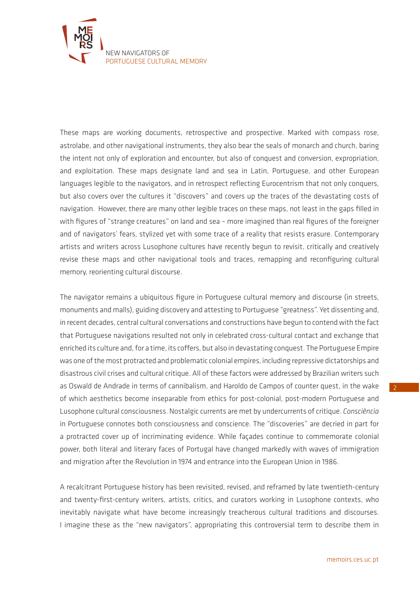

These maps are working documents, retrospective and prospective. Marked with compass rose, astrolabe, and other navigational instruments, they also bear the seals of monarch and church, baring the intent not only of exploration and encounter, but also of conquest and conversion, expropriation, and exploitation. These maps designate land and sea in Latin, Portuguese, and other European languages legible to the navigators, and in retrospect reflecting Eurocentrism that not only conquers, but also covers over the cultures it "discovers" and covers up the traces of the devastating costs of navigation. However, there are many other legible traces on these maps, not least in the gaps filled in with figures of "strange creatures" on land and sea – more imagined than real figures of the foreigner and of navigators' fears, stylized yet with some trace of a reality that resists erasure. Contemporary artists and writers across Lusophone cultures have recently begun to revisit, critically and creatively revise these maps and other navigational tools and traces, remapping and reconfiguring cultural memory, reorienting cultural discourse.

The navigator remains a ubiquitous figure in Portuguese cultural memory and discourse (in streets, monuments and malls), guiding discovery and attesting to Portuguese "greatness". Yet dissenting and, in recent decades, central cultural conversations and constructions have begun to contend with the fact that Portuguese navigations resulted not only in celebrated cross-cultural contact and exchange that enriched its culture and, for a time, its coffers, but also in devastating conquest. The Portuguese Empire was one of the most protracted and problematic colonial empires, including repressive dictatorships and disastrous civil crises and cultural critique. All of these factors were addressed by Brazilian writers such as Oswald de Andrade in terms of cannibalism, and Haroldo de Campos of counter quest, in the wake of which aesthetics become inseparable from ethics for post-colonial, post-modern Portuguese and Lusophone cultural consciousness. Nostalgic currents are met by undercurrents of critique. *Consciência* in Portuguese connotes both consciousness and conscience. The "discoveries" are decried in part for a protracted cover up of incriminating evidence. While façades continue to commemorate colonial power, both literal and literary faces of Portugal have changed markedly with waves of immigration and migration after the Revolution in 1974 and entrance into the European Union in 1986.

A recalcitrant Portuguese history has been revisited, revised, and reframed by late twentieth-century and twenty-first-century writers, artists, critics, and curators working in Lusophone contexts, who inevitably navigate what have become increasingly treacherous cultural traditions and discourses. I imagine these as the "new navigators", appropriating this controversial term to describe them in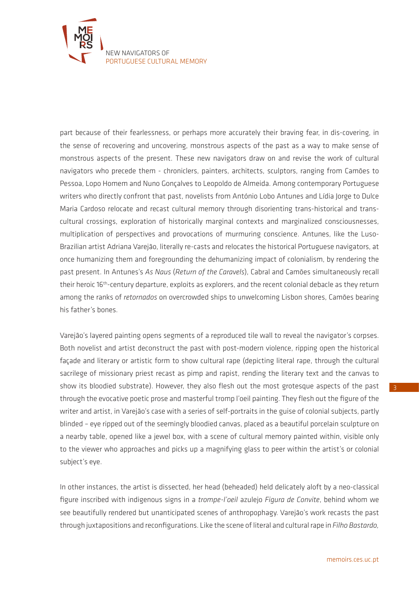

part because of their fearlessness, or perhaps more accurately their braving fear, in dis-covering, in the sense of recovering and uncovering, monstrous aspects of the past as a way to make sense of monstrous aspects of the present. These new navigators draw on and revise the work of cultural navigators who precede them - chroniclers, painters, architects, sculptors, ranging from Camões to Pessoa, Lopo Homem and Nuno Gonçalves to Leopoldo de Almeida. Among contemporary Portuguese writers who directly confront that past, novelists from António Lobo Antunes and Lídia Jorge to Dulce Maria Cardoso relocate and recast cultural memory through disorienting trans-historical and transcultural crossings, exploration of historically marginal contexts and marginalized consciousnesses, multiplication of perspectives and provocations of murmuring conscience. Antunes, like the Luso-Brazilian artist Adriana Varejão, literally re-casts and relocates the historical Portuguese navigators, at once humanizing them and foregrounding the dehumanizing impact of colonialism, by rendering the past present. In Antunes's *As Naus* (*Return of the Caravels*), Cabral and Camões simultaneously recall their heroic 16<sup>th</sup>-century departure, exploits as explorers, and the recent colonial debacle as they return among the ranks of *retornados* on overcrowded ships to unwelcoming Lisbon shores, Camões bearing his father's bones.

Varejão's layered painting opens segments of a reproduced tile wall to reveal the navigator's corpses. Both novelist and artist deconstruct the past with post-modern violence, ripping open the historical façade and literary or artistic form to show cultural rape (depicting literal rape, through the cultural sacrilege of missionary priest recast as pimp and rapist, rending the literary text and the canvas to show its bloodied substrate). However, they also flesh out the most grotesque aspects of the past through the evocative poetic prose and masterful tromp l'oeil painting. They flesh out the figure of the writer and artist, in Varejão's case with a series of self-portraits in the guise of colonial subjects, partly blinded – eye ripped out of the seemingly bloodied canvas, placed as a beautiful porcelain sculpture on a nearby table, opened like a jewel box, with a scene of cultural memory painted within, visible only to the viewer who approaches and picks up a magnifying glass to peer within the artist's or colonial subject's eye.

In other instances, the artist is dissected, her head (beheaded) held delicately aloft by a neo-classical figure inscribed with indigenous signs in a *trompe-l'oeil* azulejo *Figura de Convite*, behind whom we see beautifully rendered but unanticipated scenes of anthropophagy. Varejão's work recasts the past through juxtapositions and reconfigurations. Like the scene of literal and cultural rape in *Filho Bastardo,*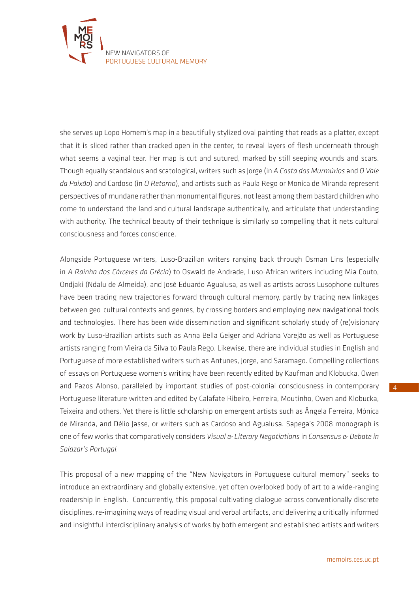

she serves up Lopo Homem's map in a beautifully stylized oval painting that reads as a platter, except that it is sliced rather than cracked open in the center, to reveal layers of flesh underneath through what seems a vaginal tear. Her map is cut and sutured, marked by still seeping wounds and scars. Though equally scandalous and scatological, writers such as Jorge (in *A Costa dos Murmúrios* and *O Vale da Paixão*) and Cardoso (in *O Retorno*), and artists such as Paula Rego or Monica de Miranda represent perspectives of mundane rather than monumental figures, not least among them bastard children who come to understand the land and cultural landscape authentically, and articulate that understanding with authority. The technical beauty of their technique is similarly so compelling that it nets cultural consciousness and forces conscience.

Alongside Portuguese writers, Luso-Brazilian writers ranging back through Osman Lins (especially in *A Rainha dos Cárceres da Grécia*) to Oswald de Andrade, Luso-African writers including Mia Couto, Ondjaki (Ndalu de Almeida), and José Eduardo Agualusa, as well as artists across Lusophone cultures have been tracing new trajectories forward through cultural memory, partly by tracing new linkages between geo-cultural contexts and genres, by crossing borders and employing new navigational tools and technologies. There has been wide dissemination and significant scholarly study of (re)visionary work by Luso-Brazilian artists such as Anna Bella Geiger and Adriana Varejão as well as Portuguese artists ranging from Vieira da Silva to Paula Rego. Likewise, there are individual studies in English and Portuguese of more established writers such as Antunes, Jorge, and Saramago. Compelling collections of essays on Portuguese women's writing have been recently edited by Kaufman and Klobucka, Owen and Pazos Alonso, paralleled by important studies of post-colonial consciousness in contemporary Portuguese literature written and edited by Calafate Ribeiro, Ferreira, Moutinho, Owen and Klobucka, Teixeira and others. Yet there is little scholarship on emergent artists such as Ângela Ferreira, Mónica de Miranda, and Délio Jasse, or writers such as Cardoso and Agualusa. Sapega's 2008 monograph is one of few works that comparatively considers *Visual & Literary Negotiations* in *Consensus & Debate in Salazar's Portugal.* 

This proposal of a new mapping of the "New Navigators in Portuguese cultural memory" seeks to introduce an extraordinary and globally extensive, yet often overlooked body of art to a wide-ranging readership in English. Concurrently, this proposal cultivating dialogue across conventionally discrete disciplines, re-imagining ways of reading visual and verbal artifacts, and delivering a critically informed and insightful interdisciplinary analysis of works by both emergent and established artists and writers